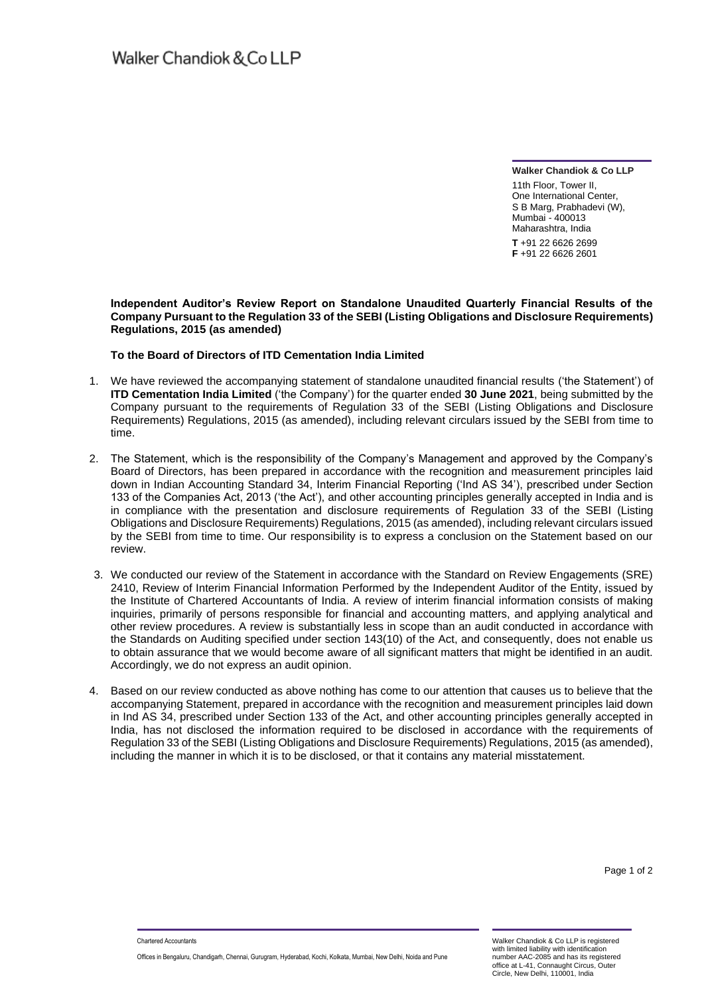**Walker Chandiok & Co LLP**

11th Floor, Tower II One International Center, S B Marg, Prabhadevi (W), Mumbai - 400013 Maharashtra, India **T** +91 22 6626 2699 **F** +91 22 6626 2601

### **Independent Auditor's Review Report on Standalone Unaudited Quarterly Financial Results of the Company Pursuant to the Regulation 33 of the SEBI (Listing Obligations and Disclosure Requirements) Regulations, 2015 (as amended)**

# **To the Board of Directors of ITD Cementation India Limited**

- 1. We have reviewed the accompanying statement of standalone unaudited financial results ('the Statement') of **ITD Cementation India Limited** ('the Company') for the quarter ended **30 June 2021**, being submitted by the Company pursuant to the requirements of Regulation 33 of the SEBI (Listing Obligations and Disclosure Requirements) Regulations, 2015 (as amended), including relevant circulars issued by the SEBI from time to time.
- 2. The Statement, which is the responsibility of the Company's Management and approved by the Company's Board of Directors, has been prepared in accordance with the recognition and measurement principles laid down in Indian Accounting Standard 34, Interim Financial Reporting ('Ind AS 34'), prescribed under Section 133 of the Companies Act, 2013 ('the Act'), and other accounting principles generally accepted in India and is in compliance with the presentation and disclosure requirements of Regulation 33 of the SEBI (Listing Obligations and Disclosure Requirements) Regulations, 2015 (as amended), including relevant circulars issued by the SEBI from time to time. Our responsibility is to express a conclusion on the Statement based on our review.
- 3. We conducted our review of the Statement in accordance with the Standard on Review Engagements (SRE) 2410, Review of Interim Financial Information Performed by the Independent Auditor of the Entity, issued by the Institute of Chartered Accountants of India. A review of interim financial information consists of making inquiries, primarily of persons responsible for financial and accounting matters, and applying analytical and other review procedures. A review is substantially less in scope than an audit conducted in accordance with the Standards on Auditing specified under section 143(10) of the Act, and consequently, does not enable us to obtain assurance that we would become aware of all significant matters that might be identified in an audit. Accordingly, we do not express an audit opinion.
- 4. Based on our review conducted as above nothing has come to our attention that causes us to believe that the accompanying Statement, prepared in accordance with the recognition and measurement principles laid down in Ind AS 34, prescribed under Section 133 of the Act, and other accounting principles generally accepted in India, has not disclosed the information required to be disclosed in accordance with the requirements of Regulation 33 of the SEBI (Listing Obligations and Disclosure Requirements) Regulations, 2015 (as amended), including the manner in which it is to be disclosed, or that it contains any material misstatement.

Page 1 of 2

Chartered Accountants

Offices in Bengaluru, Chandigarh, Chennai, Gurugram, Hyderabad, Kochi, Kolkata, Mumbai, New Delhi, Noida and Pune

Walker Chandiok & Co LLP is registered with limited liability with identification number AAC-2085 and has its registered office at L-41, Connaught Circus, Outer Circle, New Delhi, 110001, India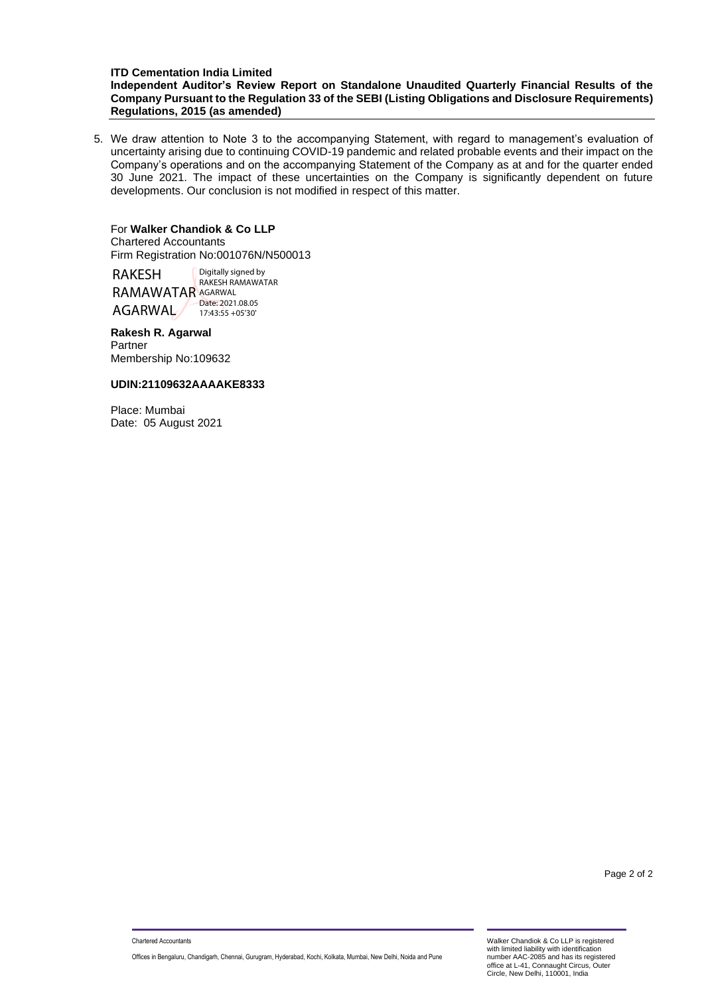### **ITD Cementation India Limited Independent Auditor's Review Report on Standalone Unaudited Quarterly Financial Results of the Company Pursuant to the Regulation 33 of the SEBI (Listing Obligations and Disclosure Requirements) Regulations, 2015 (as amended)**

5. We draw attention to Note 3 to the accompanying Statement, with regard to management's evaluation of uncertainty arising due to continuing COVID-19 pandemic and related probable events and their impact on the Company's operations and on the accompanying Statement of the Company as at and for the quarter ended 30 June 2021. The impact of these uncertainties on the Company is significantly dependent on future developments. Our conclusion is not modified in respect of this matter.

# For **Walker Chandiok & Co LLP**

Chartered Accountants Firm Registration No:001076N/N500013

RAKESH RAMAWATAR AGARWAL AGARWAL Digitally signed by RAKESH RAMAWATAR Date: 2021.08.05 17:43:55 +05'30'

#### **Rakesh R. Agarwal** Partner Membership No:109632

## **UDIN:21109632AAAAKE8333**

Place: Mumbai Date: 05 August 2021

Page 2 of 2

Offices in Bengaluru, Chandigarh, Chennai, Gurugram, Hyderabad, Kochi, Kolkata, Mumbai, New Delhi, Noida and Pune

Walker Chandiok & Co LLP is registered with limited liability with identification number AAC-2085 and has its registered office at L-41, Connaught Circus, Outer Circle, New Delhi, 110001, India